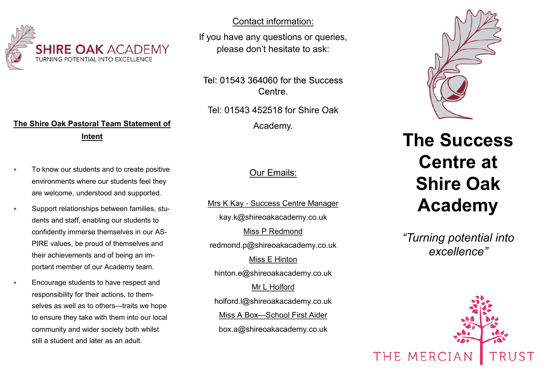

## **The Shire Oak Pastoral Team Statement of Intent**

- To know our students and to create positive environments where our students feel they are welcome, understood and supported.
- Support relationships between families, students and staff, enabling our students to confidently immerse themselves in our AS-PIRE values, be proud of themselves and their achievements and of being an important member of our Academy team.
- Encourage students to have respect and responsibility for their actions, to themselves as well as to others—traits we hope to ensure they take with them into our local community and wider society both whilst still a student and later as an adult.

Contact information:

If you have any questions or queries, please don't hesitate to ask:

Tel: 01543 364060 for the Success Centre.

Tel: 01543 452518 for Shire Oak Academy.

### Our Emails:

Mrs K Kay - Success Centre Manager kay.k@shireoakacademy.co.uk Miss P Redmond redmond.p@shireoakacademy.co.uk Miss E Hinton hinton.e@shireoakacademy.co.uk Mr L Holford holford.l@shireoakacademy.co.uk Miss A Box—School First Aider box.a@shireoakacademy.co.uk



# **The Success Centre at Shire Oak Academy**

*"Turning potential into excellence"*